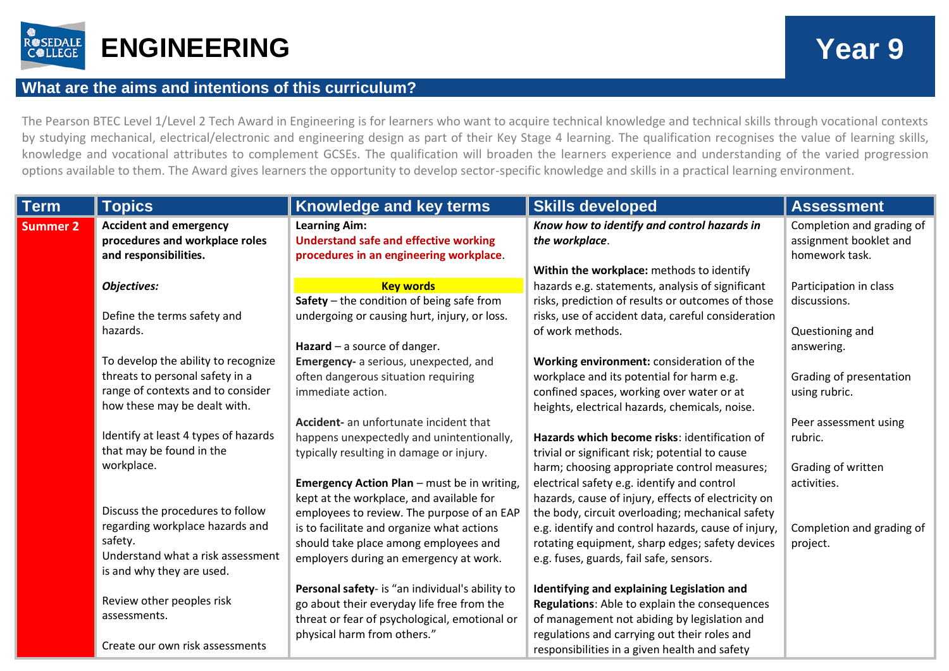

## **What are the aims and intentions of this curriculum?**

The Pearson BTEC Level 1/Level 2 Tech Award in Engineering is for learners who want to acquire technical knowledge and technical skills through vocational contexts by studying mechanical, electrical/electronic and engineering design as part of their Key Stage 4 learning. The qualification recognises the value of learning skills, knowledge and vocational attributes to complement GCSEs. The qualification will broaden the learners experience and understanding of the varied progression options available to them. The Award gives learners the opportunity to develop sector-specific knowledge and skills in a practical learning environment.

| <b>Term</b>     | <b>Topics</b>                                                                                                                                    | <b>Knowledge and key terms</b>                                                                                                                                                                                                                                                | <b>Skills developed</b>                                                                                                                                                                                                                                                                                     | <b>Assessment</b>                                                     |
|-----------------|--------------------------------------------------------------------------------------------------------------------------------------------------|-------------------------------------------------------------------------------------------------------------------------------------------------------------------------------------------------------------------------------------------------------------------------------|-------------------------------------------------------------------------------------------------------------------------------------------------------------------------------------------------------------------------------------------------------------------------------------------------------------|-----------------------------------------------------------------------|
| <b>Summer 2</b> | <b>Accident and emergency</b><br>procedures and workplace roles<br>and responsibilities.                                                         | <b>Learning Aim:</b><br><b>Understand safe and effective working</b><br>procedures in an engineering workplace.                                                                                                                                                               | Know how to identify and control hazards in<br>the workplace.<br>Within the workplace: methods to identify                                                                                                                                                                                                  | Completion and grading of<br>assignment booklet and<br>homework task. |
|                 | <b>Objectives:</b><br>Define the terms safety and                                                                                                | <b>Key words</b><br>Safety $-$ the condition of being safe from<br>undergoing or causing hurt, injury, or loss.                                                                                                                                                               | hazards e.g. statements, analysis of significant<br>risks, prediction of results or outcomes of those<br>risks, use of accident data, careful consideration                                                                                                                                                 | Participation in class<br>discussions.                                |
|                 | hazards.<br>To develop the ability to recognize                                                                                                  | Hazard $-$ a source of danger.<br>Emergency- a serious, unexpected, and                                                                                                                                                                                                       | of work methods.<br>Working environment: consideration of the                                                                                                                                                                                                                                               | Questioning and<br>answering.                                         |
|                 | threats to personal safety in a<br>range of contexts and to consider<br>how these may be dealt with.                                             | often dangerous situation requiring<br>immediate action.                                                                                                                                                                                                                      | workplace and its potential for harm e.g.<br>confined spaces, working over water or at<br>heights, electrical hazards, chemicals, noise.                                                                                                                                                                    | Grading of presentation<br>using rubric.                              |
|                 | Identify at least 4 types of hazards<br>that may be found in the<br>workplace.                                                                   | Accident- an unfortunate incident that<br>happens unexpectedly and unintentionally,<br>typically resulting in damage or injury.                                                                                                                                               | Hazards which become risks: identification of<br>trivial or significant risk; potential to cause<br>harm; choosing appropriate control measures;                                                                                                                                                            | Peer assessment using<br>rubric.<br>Grading of written<br>activities. |
|                 | Discuss the procedures to follow<br>regarding workplace hazards and<br>safety.<br>Understand what a risk assessment<br>is and why they are used. | <b>Emergency Action Plan</b> - must be in writing,<br>kept at the workplace, and available for<br>employees to review. The purpose of an EAP<br>is to facilitate and organize what actions<br>should take place among employees and<br>employers during an emergency at work. | electrical safety e.g. identify and control<br>hazards, cause of injury, effects of electricity on<br>the body, circuit overloading; mechanical safety<br>e.g. identify and control hazards, cause of injury,<br>rotating equipment, sharp edges; safety devices<br>e.g. fuses, guards, fail safe, sensors. | Completion and grading of<br>project.                                 |
|                 | Review other peoples risk<br>assessments.<br>Create our own risk assessments                                                                     | Personal safety- is "an individual's ability to<br>go about their everyday life free from the<br>threat or fear of psychological, emotional or<br>physical harm from others."                                                                                                 | Identifying and explaining Legislation and<br>Regulations: Able to explain the consequences<br>of management not abiding by legislation and<br>regulations and carrying out their roles and<br>responsibilities in a given health and safety                                                                |                                                                       |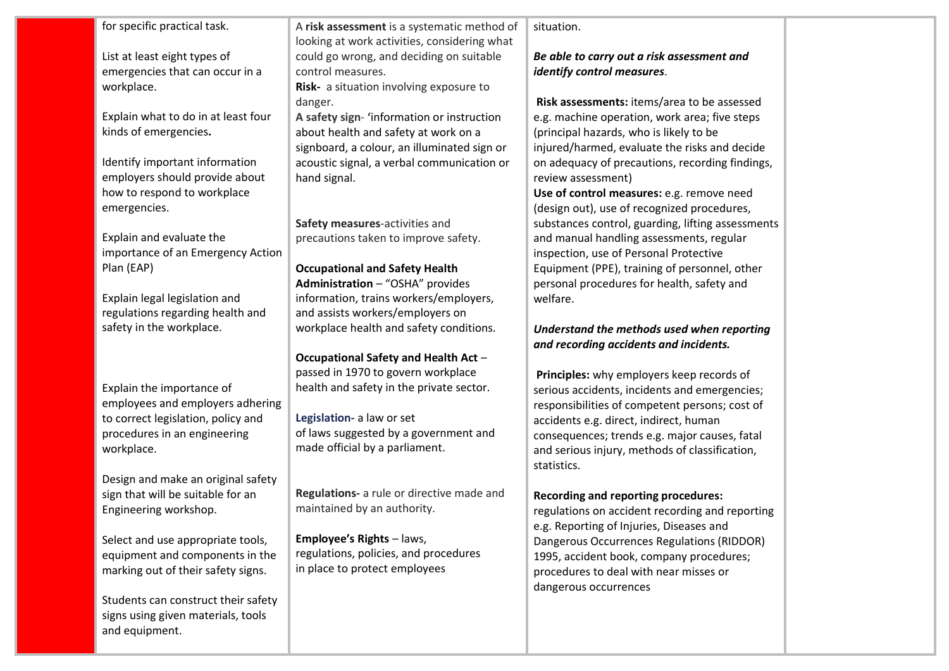| for specific practical task.        | A risk assessment is a systematic method of  | situation.                                        |  |
|-------------------------------------|----------------------------------------------|---------------------------------------------------|--|
|                                     | looking at work activities, considering what |                                                   |  |
| List at least eight types of        | could go wrong, and deciding on suitable     | Be able to carry out a risk assessment and        |  |
| emergencies that can occur in a     | control measures.                            | identify control measures.                        |  |
| workplace.                          | Risk- a situation involving exposure to      |                                                   |  |
|                                     | danger.                                      | Risk assessments: items/area to be assessed       |  |
| Explain what to do in at least four | A safety sign- 'information or instruction   | e.g. machine operation, work area; five steps     |  |
| kinds of emergencies.               | about health and safety at work on a         | (principal hazards, who is likely to be           |  |
|                                     | signboard, a colour, an illuminated sign or  | injured/harmed, evaluate the risks and decide     |  |
| Identify important information      | acoustic signal, a verbal communication or   | on adequacy of precautions, recording findings,   |  |
| employers should provide about      | hand signal.                                 | review assessment)                                |  |
| how to respond to workplace         |                                              | Use of control measures: e.g. remove need         |  |
| emergencies.                        |                                              | (design out), use of recognized procedures,       |  |
|                                     | Safety measures-activities and               | substances control, guarding, lifting assessments |  |
| Explain and evaluate the            | precautions taken to improve safety.         | and manual handling assessments, regular          |  |
| importance of an Emergency Action   |                                              | inspection, use of Personal Protective            |  |
| Plan (EAP)                          | <b>Occupational and Safety Health</b>        | Equipment (PPE), training of personnel, other     |  |
|                                     | Administration - "OSHA" provides             | personal procedures for health, safety and        |  |
| Explain legal legislation and       | information, trains workers/employers,       | welfare.                                          |  |
| regulations regarding health and    | and assists workers/employers on             |                                                   |  |
| safety in the workplace.            | workplace health and safety conditions.      | Understand the methods used when reporting        |  |
|                                     |                                              | and recording accidents and incidents.            |  |
|                                     | Occupational Safety and Health Act -         |                                                   |  |
|                                     | passed in 1970 to govern workplace           | Principles: why employers keep records of         |  |
| Explain the importance of           | health and safety in the private sector.     | serious accidents, incidents and emergencies;     |  |
| employees and employers adhering    |                                              | responsibilities of competent persons; cost of    |  |
| to correct legislation, policy and  | Legislation- a law or set                    | accidents e.g. direct, indirect, human            |  |
| procedures in an engineering        | of laws suggested by a government and        | consequences; trends e.g. major causes, fatal     |  |
| workplace.                          | made official by a parliament.               | and serious injury, methods of classification,    |  |
|                                     |                                              | statistics.                                       |  |
| Design and make an original safety  |                                              |                                                   |  |
| sign that will be suitable for an   | Regulations- a rule or directive made and    | <b>Recording and reporting procedures:</b>        |  |
| Engineering workshop.               | maintained by an authority.                  | regulations on accident recording and reporting   |  |
|                                     |                                              | e.g. Reporting of Injuries, Diseases and          |  |
| Select and use appropriate tools,   | <b>Employee's Rights - laws,</b>             | Dangerous Occurrences Regulations (RIDDOR)        |  |
| equipment and components in the     | regulations, policies, and procedures        | 1995, accident book, company procedures;          |  |
| marking out of their safety signs.  | in place to protect employees                | procedures to deal with near misses or            |  |
|                                     |                                              | dangerous occurrences                             |  |
| Students can construct their safety |                                              |                                                   |  |
| signs using given materials, tools  |                                              |                                                   |  |
| and equipment.                      |                                              |                                                   |  |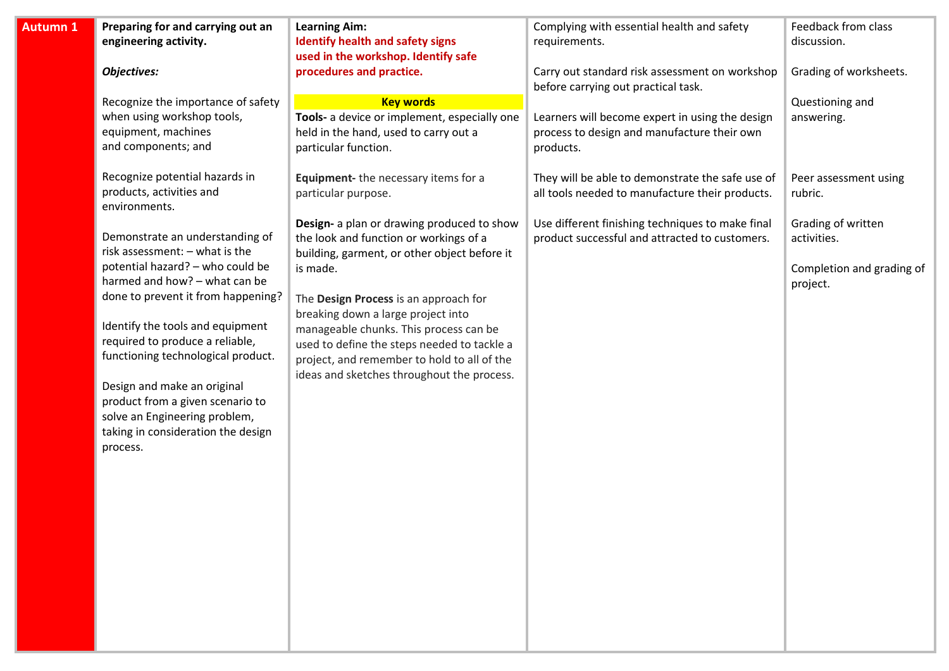| discussion.                                                                                                              |
|--------------------------------------------------------------------------------------------------------------------------|
|                                                                                                                          |
| Grading of worksheets.                                                                                                   |
| Questioning and<br>answering.<br>Peer assessment using<br>Grading of written<br>activities.<br>Completion and grading of |
|                                                                                                                          |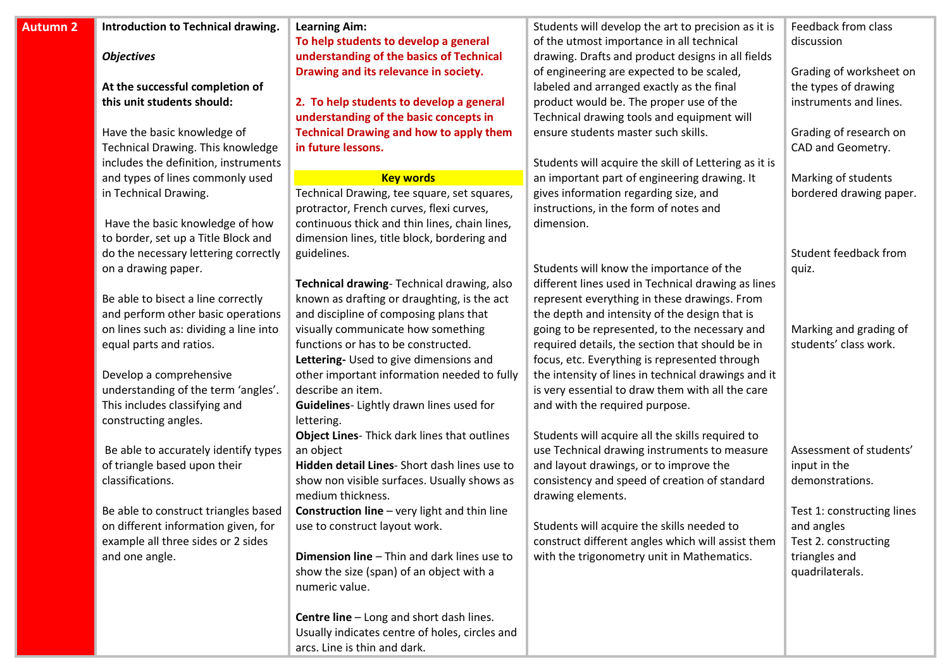| <b>Autumn 2</b> | Introduction to Technical drawing.     | <b>Learning Aim:</b>                                | Students will develop the art to precision as it is   | Feedback from class        |
|-----------------|----------------------------------------|-----------------------------------------------------|-------------------------------------------------------|----------------------------|
|                 |                                        | To help students to develop a general               | of the utmost importance in all technical             | discussion                 |
|                 | <b>Objectives</b>                      | understanding of the basics of Technical            | drawing. Drafts and product designs in all fields     |                            |
|                 |                                        | Drawing and its relevance in society.               | of engineering are expected to be scaled,             | Grading of worksheet on    |
|                 | At the successful completion of        |                                                     | labeled and arranged exactly as the final             | the types of drawing       |
|                 | this unit students should:             | 2. To help students to develop a general            | product would be. The proper use of the               | instruments and lines.     |
|                 |                                        | understanding of the basic concepts in              | Technical drawing tools and equipment will            |                            |
|                 | Have the basic knowledge of            | <b>Technical Drawing and how to apply them</b>      | ensure students master such skills.                   | Grading of research on     |
|                 | Technical Drawing. This knowledge      | in future lessons.                                  |                                                       | CAD and Geometry.          |
|                 | includes the definition, instruments   |                                                     | Students will acquire the skill of Lettering as it is |                            |
|                 | and types of lines commonly used       | <b>Key words</b>                                    | an important part of engineering drawing. It          | Marking of students        |
|                 | in Technical Drawing.                  | Technical Drawing, tee square, set squares,         | gives information regarding size, and                 | bordered drawing paper.    |
|                 |                                        | protractor, French curves, flexi curves,            | instructions, in the form of notes and                |                            |
|                 | Have the basic knowledge of how        | continuous thick and thin lines, chain lines,       | dimension.                                            |                            |
|                 | to border, set up a Title Block and    | dimension lines, title block, bordering and         |                                                       |                            |
|                 | do the necessary lettering correctly   | guidelines.                                         |                                                       | Student feedback from      |
|                 | on a drawing paper.                    |                                                     | Students will know the importance of the              | quiz.                      |
|                 |                                        | Technical drawing-Technical drawing, also           | different lines used in Technical drawing as lines    |                            |
|                 | Be able to bisect a line correctly     | known as drafting or draughting, is the act         | represent everything in these drawings. From          |                            |
|                 | and perform other basic operations     | and discipline of composing plans that              | the depth and intensity of the design that is         |                            |
|                 | on lines such as: dividing a line into | visually communicate how something                  | going to be represented, to the necessary and         | Marking and grading of     |
|                 | equal parts and ratios.                | functions or has to be constructed.                 | required details, the section that should be in       | students' class work.      |
|                 |                                        | Lettering- Used to give dimensions and              | focus, etc. Everything is represented through         |                            |
|                 | Develop a comprehensive                | other important information needed to fully         | the intensity of lines in technical drawings and it   |                            |
|                 | understanding of the term 'angles'.    | describe an item.                                   | is very essential to draw them with all the care      |                            |
|                 | This includes classifying and          | Guidelines- Lightly drawn lines used for            | and with the required purpose.                        |                            |
|                 | constructing angles.                   | lettering.                                          |                                                       |                            |
|                 |                                        | Object Lines- Thick dark lines that outlines        | Students will acquire all the skills required to      |                            |
|                 | Be able to accurately identify types   | an object                                           | use Technical drawing instruments to measure          | Assessment of students'    |
|                 | of triangle based upon their           | Hidden detail Lines- Short dash lines use to        | and layout drawings, or to improve the                | input in the               |
|                 | classifications.                       | show non visible surfaces. Usually shows as         | consistency and speed of creation of standard         | demonstrations.            |
|                 |                                        | medium thickness.                                   | drawing elements.                                     |                            |
|                 | Be able to construct triangles based   | <b>Construction line</b> - very light and thin line |                                                       | Test 1: constructing lines |
|                 | on different information given, for    | use to construct layout work.                       | Students will acquire the skills needed to            | and angles                 |
|                 | example all three sides or 2 sides     |                                                     | construct different angles which will assist them     | Test 2. constructing       |
|                 | and one angle.                         | Dimension line - Thin and dark lines use to         | with the trigonometry unit in Mathematics.            | triangles and              |
|                 |                                        | show the size (span) of an object with a            |                                                       | quadrilaterals.            |
|                 |                                        | numeric value.                                      |                                                       |                            |
|                 |                                        |                                                     |                                                       |                            |
|                 |                                        | Centre line - Long and short dash lines.            |                                                       |                            |
|                 |                                        | Usually indicates centre of holes, circles and      |                                                       |                            |
|                 |                                        | arcs. Line is thin and dark.                        |                                                       |                            |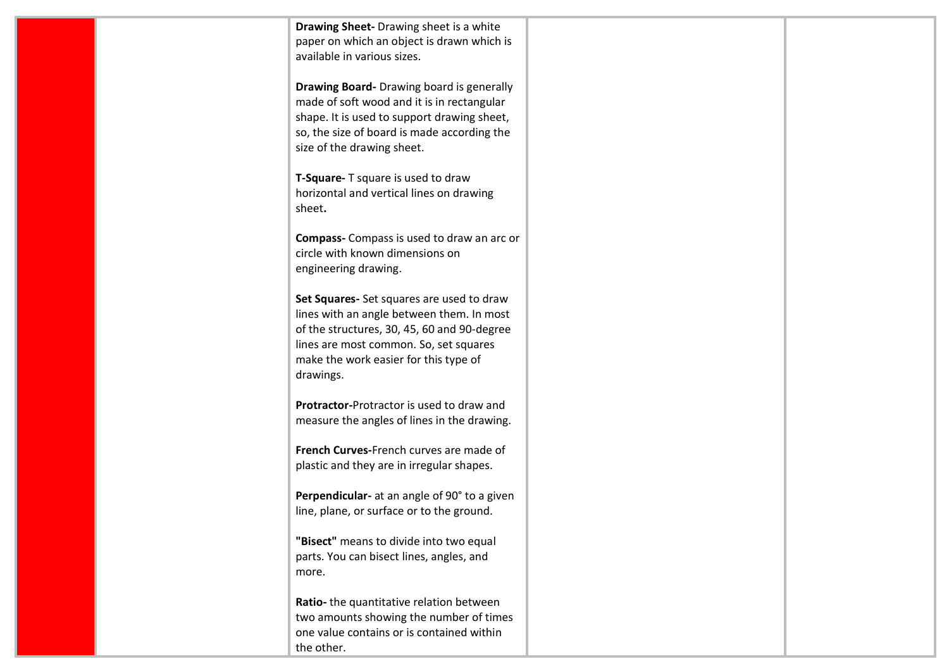| Drawing Sheet- Drawing sheet is a white<br>paper on which an object is drawn which is<br>available in various sizes. |  |
|----------------------------------------------------------------------------------------------------------------------|--|
|                                                                                                                      |  |
| <b>Drawing Board-</b> Drawing board is generally<br>made of soft wood and it is in rectangular                       |  |
| shape. It is used to support drawing sheet,                                                                          |  |
| so, the size of board is made according the<br>size of the drawing sheet.                                            |  |
| T-Square- T square is used to draw<br>horizontal and vertical lines on drawing<br>sheet.                             |  |
| Compass- Compass is used to draw an arc or<br>circle with known dimensions on<br>engineering drawing.                |  |
| Set Squares- Set squares are used to draw<br>lines with an angle between them. In most                               |  |
| of the structures, 30, 45, 60 and 90-degree<br>lines are most common. So, set squares                                |  |
| make the work easier for this type of<br>drawings.                                                                   |  |
| Protractor-Protractor is used to draw and<br>measure the angles of lines in the drawing.                             |  |
| French Curves-French curves are made of<br>plastic and they are in irregular shapes.                                 |  |
|                                                                                                                      |  |
| Perpendicular- at an angle of 90° to a given<br>line, plane, or surface or to the ground.                            |  |
| "Bisect" means to divide into two equal                                                                              |  |
| parts. You can bisect lines, angles, and<br>more.                                                                    |  |
| Ratio- the quantitative relation between<br>two amounts showing the number of times                                  |  |
| one value contains or is contained within<br>the other.                                                              |  |
|                                                                                                                      |  |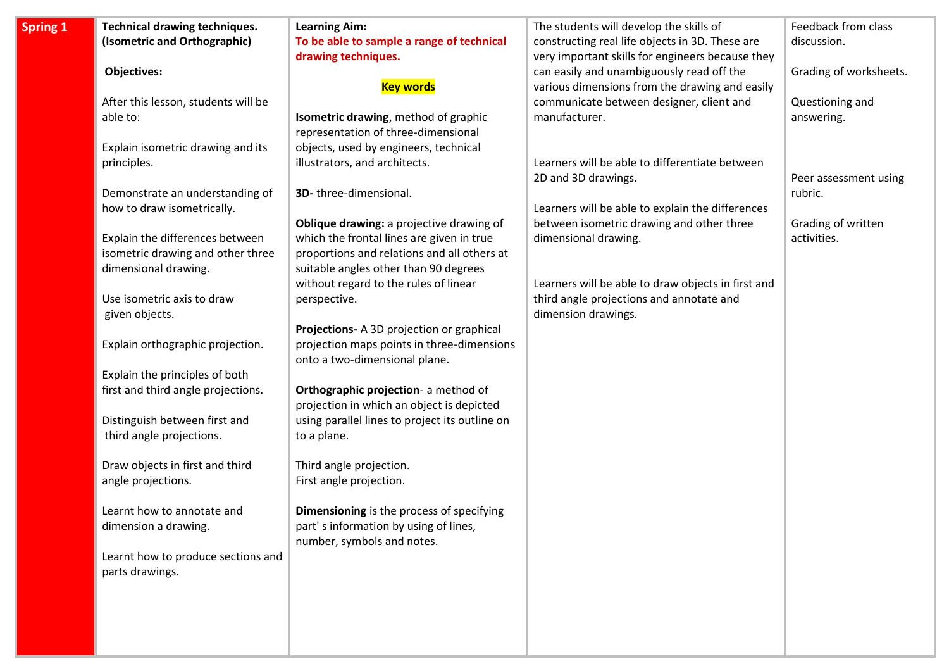| <b>Technical drawing techniques.</b> | <b>Learning Aim:</b>                           | The students will develop the skills of            | Feedback from class    |
|--------------------------------------|------------------------------------------------|----------------------------------------------------|------------------------|
| (Isometric and Orthographic)         | To be able to sample a range of technical      | constructing real life objects in 3D. These are    | discussion.            |
|                                      | drawing techniques.                            | very important skills for engineers because they   |                        |
| <b>Objectives:</b>                   |                                                | can easily and unambiguously read off the          | Grading of worksheets. |
|                                      | <b>Key words</b>                               | various dimensions from the drawing and easily     |                        |
| After this lesson, students will be  |                                                | communicate between designer, client and           | Questioning and        |
| able to:                             | Isometric drawing, method of graphic           | manufacturer.                                      | answering.             |
|                                      | representation of three-dimensional            |                                                    |                        |
| Explain isometric drawing and its    | objects, used by engineers, technical          |                                                    |                        |
| principles.                          | illustrators, and architects.                  | Learners will be able to differentiate between     |                        |
|                                      |                                                | 2D and 3D drawings.                                | Peer assessment using  |
| Demonstrate an understanding of      | 3D-three-dimensional.                          |                                                    | rubric.                |
| how to draw isometrically.           |                                                | Learners will be able to explain the differences   |                        |
|                                      | Oblique drawing: a projective drawing of       | between isometric drawing and other three          | Grading of written     |
| Explain the differences between      | which the frontal lines are given in true      | dimensional drawing.                               | activities.            |
| isometric drawing and other three    | proportions and relations and all others at    |                                                    |                        |
| dimensional drawing.                 | suitable angles other than 90 degrees          |                                                    |                        |
|                                      | without regard to the rules of linear          | Learners will be able to draw objects in first and |                        |
| Use isometric axis to draw           | perspective.                                   | third angle projections and annotate and           |                        |
| given objects.                       |                                                | dimension drawings.                                |                        |
|                                      | Projections- A 3D projection or graphical      |                                                    |                        |
| Explain orthographic projection.     | projection maps points in three-dimensions     |                                                    |                        |
|                                      | onto a two-dimensional plane.                  |                                                    |                        |
| Explain the principles of both       |                                                |                                                    |                        |
| first and third angle projections.   | Orthographic projection- a method of           |                                                    |                        |
|                                      | projection in which an object is depicted      |                                                    |                        |
| Distinguish between first and        | using parallel lines to project its outline on |                                                    |                        |
| third angle projections.             | to a plane.                                    |                                                    |                        |
|                                      |                                                |                                                    |                        |
| Draw objects in first and third      | Third angle projection.                        |                                                    |                        |
| angle projections.                   | First angle projection.                        |                                                    |                        |
|                                      |                                                |                                                    |                        |
| Learnt how to annotate and           | Dimensioning is the process of specifying      |                                                    |                        |
| dimension a drawing.                 | part's information by using of lines,          |                                                    |                        |
|                                      | number, symbols and notes.                     |                                                    |                        |
| Learnt how to produce sections and   |                                                |                                                    |                        |
| parts drawings.                      |                                                |                                                    |                        |
|                                      |                                                |                                                    |                        |
|                                      |                                                |                                                    |                        |
|                                      |                                                |                                                    |                        |
|                                      |                                                |                                                    |                        |

**Spring**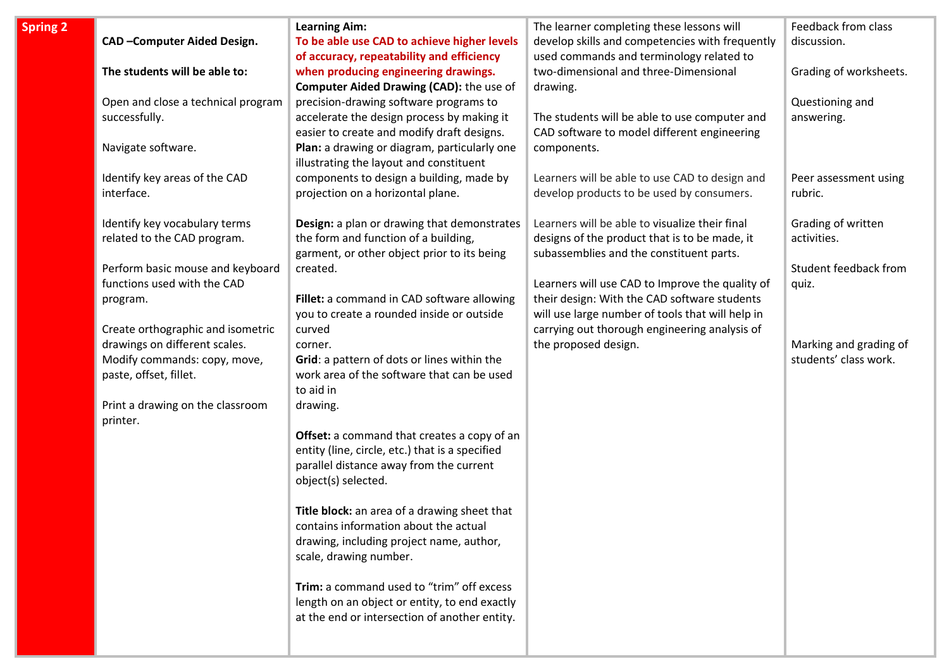| ng 2 |                                    | <b>Learning Aim:</b>                                    | The learner completing these lessons will        | Feedback from class    |
|------|------------------------------------|---------------------------------------------------------|--------------------------------------------------|------------------------|
|      | CAD-Computer Aided Design.         | To be able use CAD to achieve higher levels             | develop skills and competencies with frequently  | discussion.            |
|      |                                    | of accuracy, repeatability and efficiency               | used commands and terminology related to         |                        |
|      | The students will be able to:      | when producing engineering drawings.                    | two-dimensional and three-Dimensional            | Grading of worksheets. |
|      |                                    | <b>Computer Aided Drawing (CAD):</b> the use of         | drawing.                                         |                        |
|      | Open and close a technical program | precision-drawing software programs to                  |                                                  | Questioning and        |
|      | successfully.                      | accelerate the design process by making it              | The students will be able to use computer and    | answering.             |
|      |                                    | easier to create and modify draft designs.              | CAD software to model different engineering      |                        |
|      | Navigate software.                 | Plan: a drawing or diagram, particularly one            | components.                                      |                        |
|      |                                    | illustrating the layout and constituent                 |                                                  |                        |
|      | Identify key areas of the CAD      | components to design a building, made by                | Learners will be able to use CAD to design and   | Peer assessment using  |
|      | interface.                         | projection on a horizontal plane.                       | develop products to be used by consumers.        | rubric.                |
|      | Identify key vocabulary terms      | Design: a plan or drawing that demonstrates             | Learners will be able to visualize their final   | Grading of written     |
|      | related to the CAD program.        | the form and function of a building,                    | designs of the product that is to be made, it    | activities.            |
|      |                                    | garment, or other object prior to its being             | subassemblies and the constituent parts.         |                        |
|      | Perform basic mouse and keyboard   | created.                                                |                                                  | Student feedback from  |
|      | functions used with the CAD        |                                                         | Learners will use CAD to Improve the quality of  | quiz.                  |
|      | program.                           | Fillet: a command in CAD software allowing              | their design: With the CAD software students     |                        |
|      |                                    | you to create a rounded inside or outside               | will use large number of tools that will help in |                        |
|      | Create orthographic and isometric  | curved                                                  | carrying out thorough engineering analysis of    |                        |
|      | drawings on different scales.      | corner.                                                 | the proposed design.                             | Marking and grading of |
|      | Modify commands: copy, move,       | Grid: a pattern of dots or lines within the             |                                                  | students' class work.  |
|      | paste, offset, fillet.             | work area of the software that can be used<br>to aid in |                                                  |                        |
|      | Print a drawing on the classroom   |                                                         |                                                  |                        |
|      | printer.                           | drawing.                                                |                                                  |                        |
|      |                                    | Offset: a command that creates a copy of an             |                                                  |                        |
|      |                                    | entity (line, circle, etc.) that is a specified         |                                                  |                        |
|      |                                    | parallel distance away from the current                 |                                                  |                        |
|      |                                    | object(s) selected.                                     |                                                  |                        |
|      |                                    | Title block: an area of a drawing sheet that            |                                                  |                        |
|      |                                    | contains information about the actual                   |                                                  |                        |
|      |                                    | drawing, including project name, author,                |                                                  |                        |
|      |                                    | scale, drawing number.                                  |                                                  |                        |
|      |                                    | Trim: a command used to "trim" off excess               |                                                  |                        |
|      |                                    | length on an object or entity, to end exactly           |                                                  |                        |
|      |                                    | at the end or intersection of another entity.           |                                                  |                        |
|      |                                    |                                                         |                                                  |                        |
|      |                                    |                                                         |                                                  |                        |

**Spri**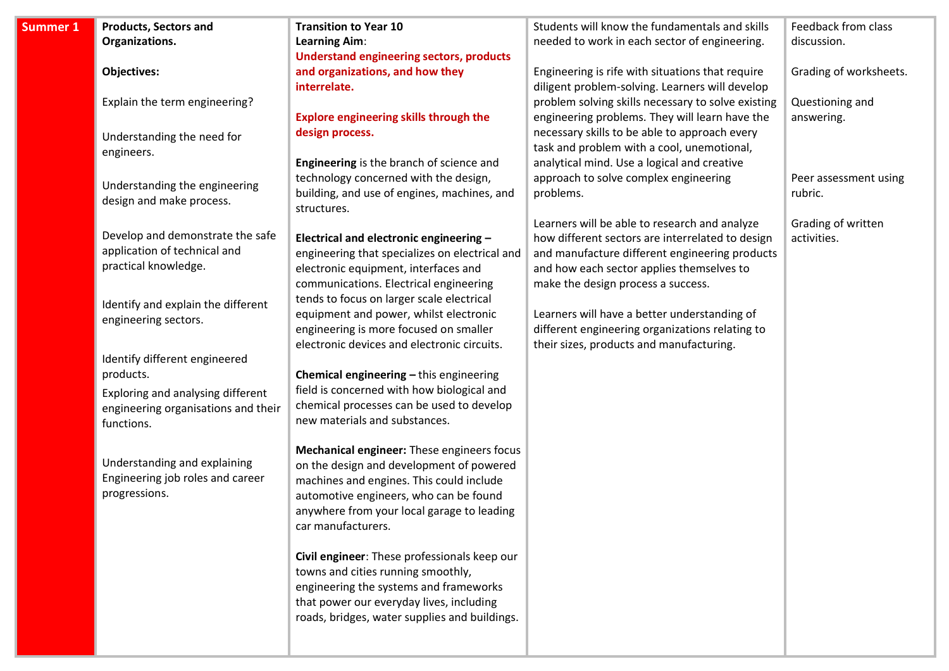| Summer 1 | <b>Products, Sectors and</b>        | <b>Transition to Year 10</b>                                                       | Students will know the fundamentals and skills     | Feedback from class    |
|----------|-------------------------------------|------------------------------------------------------------------------------------|----------------------------------------------------|------------------------|
|          | Organizations.                      | <b>Learning Aim:</b>                                                               | needed to work in each sector of engineering.      | discussion.            |
|          |                                     | <b>Understand engineering sectors, products</b>                                    |                                                    |                        |
|          | <b>Objectives:</b>                  | and organizations, and how they                                                    | Engineering is rife with situations that require   | Grading of worksheets. |
|          |                                     | interrelate.                                                                       | diligent problem-solving. Learners will develop    |                        |
|          | Explain the term engineering?       |                                                                                    | problem solving skills necessary to solve existing | Questioning and        |
|          |                                     | <b>Explore engineering skills through the</b>                                      | engineering problems. They will learn have the     | answering.             |
|          | Understanding the need for          | design process.                                                                    | necessary skills to be able to approach every      |                        |
|          | engineers.                          |                                                                                    | task and problem with a cool, unemotional,         |                        |
|          |                                     | Engineering is the branch of science and                                           | analytical mind. Use a logical and creative        |                        |
|          | Understanding the engineering       | technology concerned with the design,                                              | approach to solve complex engineering              | Peer assessment using  |
|          | design and make process.            | building, and use of engines, machines, and                                        | problems.                                          | rubric.                |
|          |                                     | structures.                                                                        |                                                    |                        |
|          |                                     |                                                                                    | Learners will be able to research and analyze      | Grading of written     |
|          | Develop and demonstrate the safe    | Electrical and electronic engineering -                                            | how different sectors are interrelated to design   | activities.            |
|          | application of technical and        | engineering that specializes on electrical and                                     | and manufacture different engineering products     |                        |
|          | practical knowledge.                | electronic equipment, interfaces and                                               | and how each sector applies themselves to          |                        |
|          |                                     | communications. Electrical engineering                                             | make the design process a success.                 |                        |
|          | Identify and explain the different  | tends to focus on larger scale electrical                                          |                                                    |                        |
|          | engineering sectors.                | equipment and power, whilst electronic                                             | Learners will have a better understanding of       |                        |
|          |                                     | engineering is more focused on smaller                                             | different engineering organizations relating to    |                        |
|          |                                     | electronic devices and electronic circuits.                                        | their sizes, products and manufacturing.           |                        |
|          | Identify different engineered       |                                                                                    |                                                    |                        |
|          | products.                           | Chemical engineering - this engineering                                            |                                                    |                        |
|          | Exploring and analysing different   | field is concerned with how biological and                                         |                                                    |                        |
|          | engineering organisations and their | chemical processes can be used to develop                                          |                                                    |                        |
|          | functions.                          | new materials and substances.                                                      |                                                    |                        |
|          |                                     |                                                                                    |                                                    |                        |
|          | Understanding and explaining        | Mechanical engineer: These engineers focus                                         |                                                    |                        |
|          | Engineering job roles and career    | on the design and development of powered                                           |                                                    |                        |
|          | progressions.                       | machines and engines. This could include<br>automotive engineers, who can be found |                                                    |                        |
|          |                                     | anywhere from your local garage to leading                                         |                                                    |                        |
|          |                                     | car manufacturers.                                                                 |                                                    |                        |
|          |                                     |                                                                                    |                                                    |                        |
|          |                                     | Civil engineer: These professionals keep our                                       |                                                    |                        |
|          |                                     | towns and cities running smoothly,                                                 |                                                    |                        |
|          |                                     | engineering the systems and frameworks                                             |                                                    |                        |
|          |                                     | that power our everyday lives, including                                           |                                                    |                        |
|          |                                     | roads, bridges, water supplies and buildings.                                      |                                                    |                        |
|          |                                     |                                                                                    |                                                    |                        |
|          |                                     |                                                                                    |                                                    |                        |